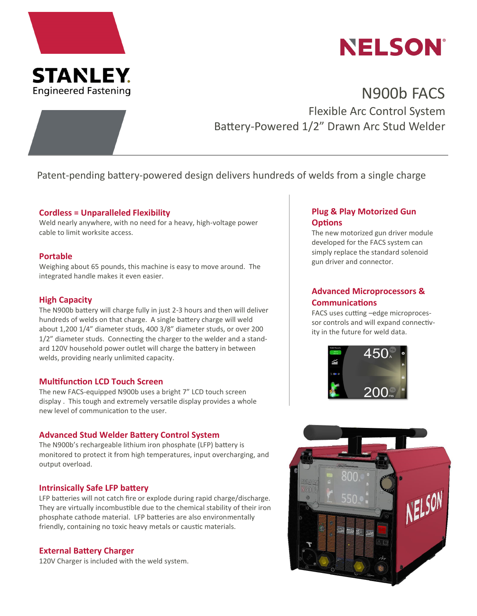



# N900b FACS Flexible Arc Control System Battery-Powered 1/2" Drawn Arc Stud Welder

# Patent-pending battery-powered design delivers hundreds of welds from a single charge

#### **Cordless = Unparalleled Flexibility**

Weld nearly anywhere, with no need for a heavy, high-voltage power cable to limit worksite access.

#### **Portable**

Weighing about 65 pounds, this machine is easy to move around. The integrated handle makes it even easier.

### **High Capacity**

The N900b battery will charge fully in just 2-3 hours and then will deliver hundreds of welds on that charge. A single battery charge will weld about 1,200 1/4" diameter studs, 400 3/8" diameter studs, or over 200 1/2" diameter studs. Connecting the charger to the welder and a standard 120V household power outlet will charge the battery in between welds, providing nearly unlimited capacity.

#### **Multifunction LCD Touch Screen**

The new FACS-equipped N900b uses a bright 7" LCD touch screen display . This tough and extremely versatile display provides a whole new level of communication to the user.

### **Advanced Stud Welder Battery Control System**

The N900b's rechargeable lithium iron phosphate (LFP) battery is monitored to protect it from high temperatures, input overcharging, and output overload.

#### **Intrinsically Safe LFP battery**

LFP batteries will not catch fire or explode during rapid charge/discharge. They are virtually incombustible due to the chemical stability of their iron phosphate cathode material. LFP batteries are also environmentally friendly, containing no toxic heavy metals or caustic materials.

#### **External Battery Charger**

120V Charger is included with the weld system.

# **Plug & Play Motorized Gun Options**

The new motorized gun driver module developed for the FACS system can simply replace the standard solenoid gun driver and connector.

# **Advanced Microprocessors & Communications**

FACS uses cutting –edge microprocessor controls and will expand connectivity in the future for weld data.